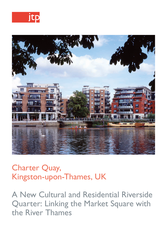



# Charter Quay, Kingston-upon-Thames, UK

A New Cultural and Residential Riverside Quarter: Linking the Market Square with the River Thames